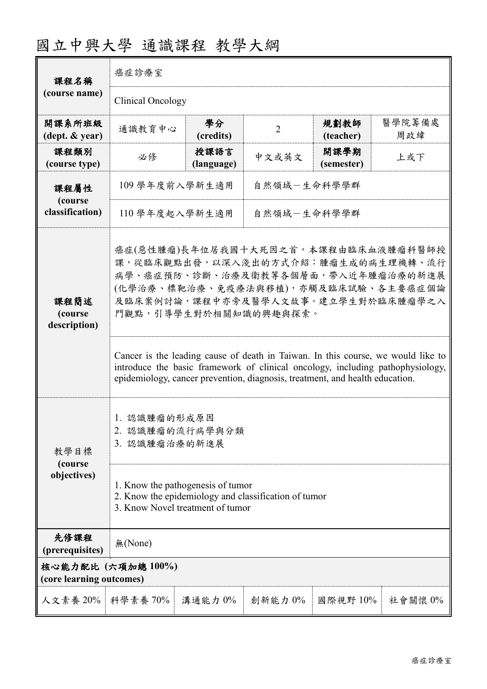| 課程名稱                                           | 癌症診療室                                                                                                                                                                                                                                                                                                                                                                                                                                                                       |                    |                |                    |               |  |
|------------------------------------------------|-----------------------------------------------------------------------------------------------------------------------------------------------------------------------------------------------------------------------------------------------------------------------------------------------------------------------------------------------------------------------------------------------------------------------------------------------------------------------------|--------------------|----------------|--------------------|---------------|--|
| (course name)                                  | Clinical Oncology                                                                                                                                                                                                                                                                                                                                                                                                                                                           |                    |                |                    |               |  |
| 開課系所班級<br>(dept. & year)                       | 通識教育中心                                                                                                                                                                                                                                                                                                                                                                                                                                                                      | 學分<br>(credits)    | $\overline{2}$ | 規劃教師<br>(teacher)  | 醫學院籌備處<br>周政緯 |  |
| 課程類別<br>(course type)                          | 必修                                                                                                                                                                                                                                                                                                                                                                                                                                                                          | 授課語言<br>(language) | 中文或英文          | 開課學期<br>(semester) | 上或下           |  |
| 課程屬性                                           | 自然領域一生命科學學群<br>109 學年度前入學新生適用                                                                                                                                                                                                                                                                                                                                                                                                                                               |                    |                |                    |               |  |
| (course<br>classification)                     | 自然領域一生命科學學群<br>110 學年度起入學新生適用                                                                                                                                                                                                                                                                                                                                                                                                                                               |                    |                |                    |               |  |
| 課程簡述<br>(course<br>description)                | 癌症(惡性腫瘤)長年位居我國十大死因之首,本課程由臨床血液腫瘤科醫師授<br>課,從臨床觀點出發,以深入淺出的方式介紹:腫瘤生成的病生理機轉、流行<br>病學、癌症預防、診斷、治療及衛教等各個層面,帶入近年腫瘤治療的新進展<br>(化學治療、標靶治療、免疫療法與移植),亦觸及臨床試驗、各主要癌症個論<br>及臨床案例討論,課程中亦旁及醫學人文故事。建立學生對於臨床腫瘤學之入<br>門觀點,引導學生對於相關知識的興趣與探索。<br>Cancer is the leading cause of death in Taiwan. In this course, we would like to<br>introduce the basic framework of clinical oncology, including pathophysiology,<br>epidemiology, cancer prevention, diagnosis, treatment, and health education. |                    |                |                    |               |  |
| 教學目標<br>(course)<br>objectives)                | 1. 認識腫瘤的形成原因<br>2. 認識腫瘤的流行病學與分類<br>3. 認識腫瘤治療的新進展<br>1. Know the pathogenesis of tumor<br>2. Know the epidemiology and classification of tumor<br>3. Know Novel treatment of tumor                                                                                                                                                                                                                                                                                           |                    |                |                    |               |  |
| 先修課程<br>(prerequisites)                        | 無(None)                                                                                                                                                                                                                                                                                                                                                                                                                                                                     |                    |                |                    |               |  |
| 核心能力配比 (六項加總 100%)<br>(core learning outcomes) |                                                                                                                                                                                                                                                                                                                                                                                                                                                                             |                    |                |                    |               |  |
| 人文素養 20% 科學素養 70%                              |                                                                                                                                                                                                                                                                                                                                                                                                                                                                             | 溝通能力 0%            | 創新能力0%         | 國際視野 10%           | 社會關懷 $0\%$    |  |

## 國立中興大學 通識課程 教學大綱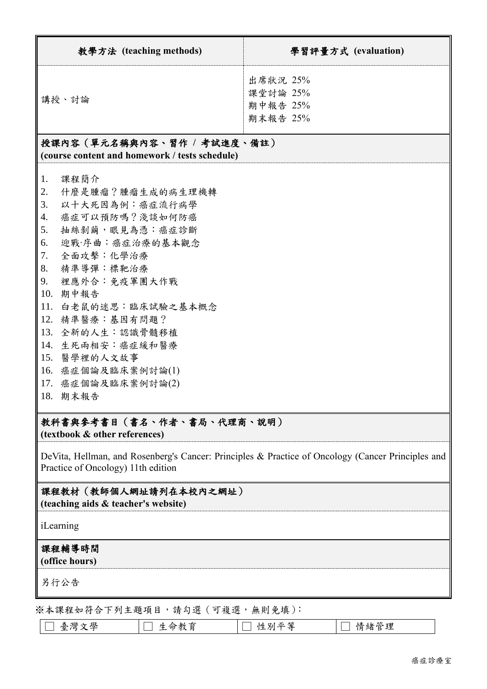| 教學方法 (teaching methods)                                                                                                                                                                                                                                                                                                                                                                 | 學習評量方式 (evaluation)                          |  |  |  |
|-----------------------------------------------------------------------------------------------------------------------------------------------------------------------------------------------------------------------------------------------------------------------------------------------------------------------------------------------------------------------------------------|----------------------------------------------|--|--|--|
| 講授、討論                                                                                                                                                                                                                                                                                                                                                                                   | 出席狀況 25%<br>課堂討論 25%<br>期中報告 25%<br>期末報告 25% |  |  |  |
| 授課內容(單元名稱與內容、習作 / 考試進度、備註)<br>(course content and homework / tests schedule)                                                                                                                                                                                                                                                                                                            |                                              |  |  |  |
| 課程簡介<br>1.<br>什麼是腫瘤?腫瘤生成的病生理機轉<br>2.<br>以十大死因為例:癌症流行病學<br>3.<br>癌症可以預防嗎?淺談如何防癌<br>4.<br>抽絲剝繭,眼見為憑:癌症診斷<br>5.<br>迎戰·序曲:癌症治療的基本觀念<br>6.<br>全面攻擊:化學治療<br>7.<br>精準導彈:標靶治療<br>8.<br>裡應外合:免疫軍團大作戰<br>9.<br>10.<br>期中報告<br>11.<br>白老鼠的迷思:臨床試驗之基本概念<br>12. 精準醫療:基因有問題?<br>13.<br>全新的人生:認識骨髓移植<br>14. 生死兩相安:癌症緩和醫療<br>15. 醫學裡的人文故事<br>癌症個論及臨床案例討論(1)<br>16.<br>癌症個論及臨床案例討論(2)<br>17.<br>18. 期末報告 |                                              |  |  |  |
| 教科書與參考書目(書名、作者、書局、代理商、説明)<br>(textbook & other references)                                                                                                                                                                                                                                                                                                                              |                                              |  |  |  |
| DeVita, Hellman, and Rosenberg's Cancer: Principles & Practice of Oncology (Cancer Principles and<br>Practice of Oncology) 11th edition                                                                                                                                                                                                                                                 |                                              |  |  |  |
| 課程教材(教師個人網址請列在本校內之網址)<br>(teaching aids & teacher's website)                                                                                                                                                                                                                                                                                                                            |                                              |  |  |  |
| iLearning                                                                                                                                                                                                                                                                                                                                                                               |                                              |  |  |  |
| 課程輔導時間                                                                                                                                                                                                                                                                                                                                                                                  |                                              |  |  |  |

**(office hours)**

另行公告

※本課程如符合下列主題項目,請勾選(可複選,無則免填):

| 學<br>、く終し<br>豪 |  | 別 半 窒<br>心生 | 理<br>в<br><b>SM</b> |
|----------------|--|-------------|---------------------|
|----------------|--|-------------|---------------------|